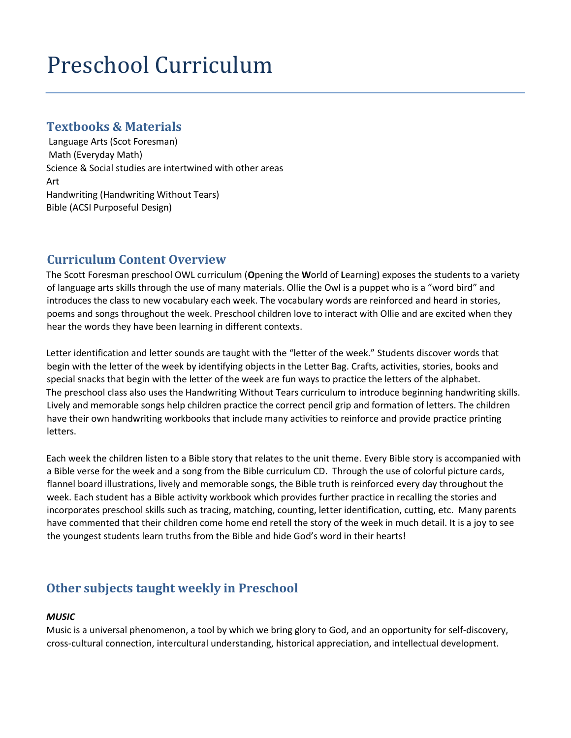# Preschool Curriculum

## **Textbooks & Materials**

Language Arts (Scot Foresman) Math (Everyday Math) Science & Social studies are intertwined with other areas Art Handwriting (Handwriting Without Tears) Bible (ACSI Purposeful Design)

# **Curriculum Content Overview**

The Scott Foresman preschool OWL curriculum (**O**pening the **W**orld of **L**earning) exposes the students to a variety of language arts skills through the use of many materials. Ollie the Owl is a puppet who is a "word bird" and introduces the class to new vocabulary each week. The vocabulary words are reinforced and heard in stories, poems and songs throughout the week. Preschool children love to interact with Ollie and are excited when they hear the words they have been learning in different contexts.

Letter identification and letter sounds are taught with the "letter of the week." Students discover words that begin with the letter of the week by identifying objects in the Letter Bag. Crafts, activities, stories, books and special snacks that begin with the letter of the week are fun ways to practice the letters of the alphabet. The preschool class also uses the Handwriting Without Tears curriculum to introduce beginning handwriting skills. Lively and memorable songs help children practice the correct pencil grip and formation of letters. The children have their own handwriting workbooks that include many activities to reinforce and provide practice printing letters.

Each week the children listen to a Bible story that relates to the unit theme. Every Bible story is accompanied with a Bible verse for the week and a song from the Bible curriculum CD. Through the use of colorful picture cards, flannel board illustrations, lively and memorable songs, the Bible truth is reinforced every day throughout the week. Each student has a Bible activity workbook which provides further practice in recalling the stories and incorporates preschool skills such as tracing, matching, counting, letter identification, cutting, etc. Many parents have commented that their children come home end retell the story of the week in much detail. It is a joy to see the youngest students learn truths from the Bible and hide God's word in their hearts!

# **Other subjects taught weekly in Preschool**

## *MUSIC*

Music is a universal phenomenon, a tool by which we bring glory to God, and an opportunity for self-discovery, cross-cultural connection, intercultural understanding, historical appreciation, and intellectual development.